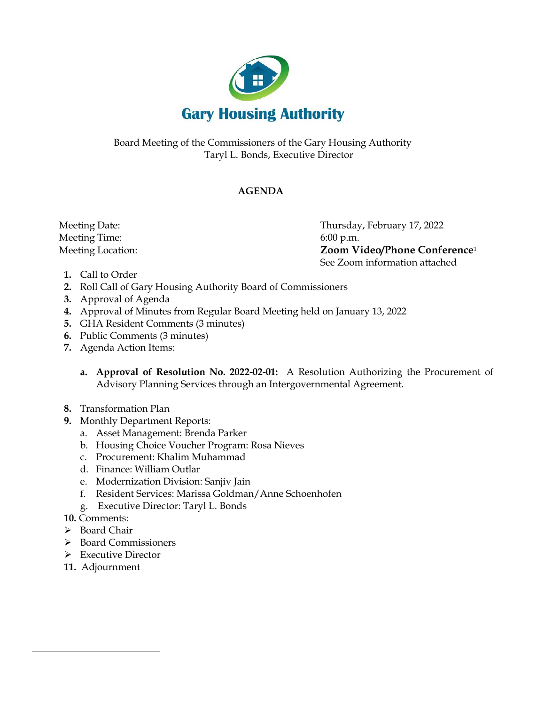

Board Meeting of the Commissioners of the Gary Housing Authority Taryl L. Bonds, Executive Director

## **AGENDA**

Meeting Time: 6:00 p.m.

 Meeting Date: Thursday, February 17, 2022 Meeting Location: **Zoom Video/Phone Conference**<sup>1</sup> See Zoom information attached

- **1.** Call to Order
- **2.** Roll Call of Gary Housing Authority Board of Commissioners
- **3.** Approval of Agenda
- **4.** Approval of Minutes from Regular Board Meeting held on January 13, 2022
- **5.** GHA Resident Comments (3 minutes)
- **6.** Public Comments (3 minutes)
- **7.** Agenda Action Items:
	- **a. Approval of Resolution No. 2022-02-01:** A Resolution Authorizing the Procurement of Advisory Planning Services through an Intergovernmental Agreement.
- **8.** Transformation Plan
- **9.** Monthly Department Reports:
	- a. Asset Management: Brenda Parker
	- b. Housing Choice Voucher Program: Rosa Nieves
	- c. Procurement: Khalim Muhammad
	- d. Finance: William Outlar
	- e. Modernization Division: Sanjiv Jain
	- f. Resident Services: Marissa Goldman/Anne Schoenhofen
	- g. Executive Director: Taryl L. Bonds
- **10.** Comments:
- ➢ Board Chair
- ➢ Board Commissioners
- ➢ Executive Director
- **11.** Adjournment